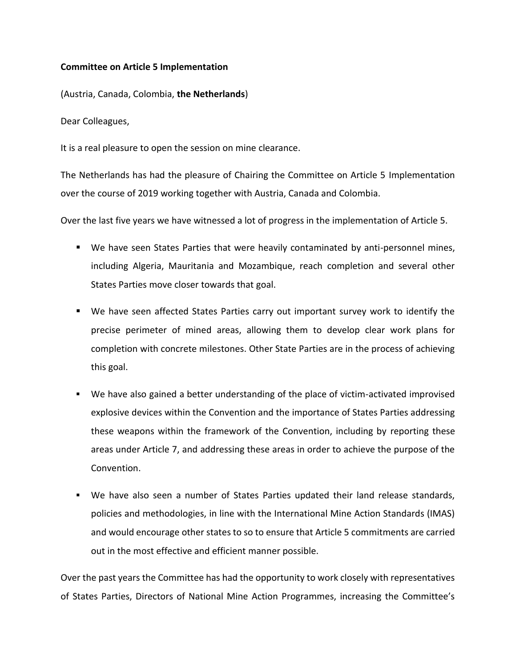## **Committee on Article 5 Implementation**

(Austria, Canada, Colombia, **the Netherlands**)

Dear Colleagues,

It is a real pleasure to open the session on mine clearance.

The Netherlands has had the pleasure of Chairing the Committee on Article 5 Implementation over the course of 2019 working together with Austria, Canada and Colombia.

Over the last five years we have witnessed a lot of progress in the implementation of Article 5.

- We have seen States Parties that were heavily contaminated by anti-personnel mines, including Algeria, Mauritania and Mozambique, reach completion and several other States Parties move closer towards that goal.
- We have seen affected States Parties carry out important survey work to identify the precise perimeter of mined areas, allowing them to develop clear work plans for completion with concrete milestones. Other State Parties are in the process of achieving this goal.
- We have also gained a better understanding of the place of victim-activated improvised explosive devices within the Convention and the importance of States Parties addressing these weapons within the framework of the Convention, including by reporting these areas under Article 7, and addressing these areas in order to achieve the purpose of the Convention.
- We have also seen a number of States Parties updated their land release standards, policies and methodologies, in line with the International Mine Action Standards (IMAS) and would encourage other states to so to ensure that Article 5 commitments are carried out in the most effective and efficient manner possible.

Over the past years the Committee has had the opportunity to work closely with representatives of States Parties, Directors of National Mine Action Programmes, increasing the Committee's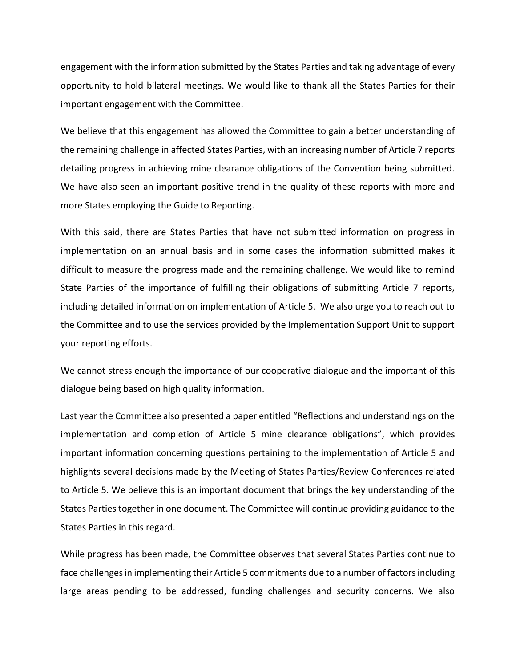engagement with the information submitted by the States Parties and taking advantage of every opportunity to hold bilateral meetings. We would like to thank all the States Parties for their important engagement with the Committee.

We believe that this engagement has allowed the Committee to gain a better understanding of the remaining challenge in affected States Parties, with an increasing number of Article 7 reports detailing progress in achieving mine clearance obligations of the Convention being submitted. We have also seen an important positive trend in the quality of these reports with more and more States employing the Guide to Reporting.

With this said, there are States Parties that have not submitted information on progress in implementation on an annual basis and in some cases the information submitted makes it difficult to measure the progress made and the remaining challenge. We would like to remind State Parties of the importance of fulfilling their obligations of submitting Article 7 reports, including detailed information on implementation of Article 5. We also urge you to reach out to the Committee and to use the services provided by the Implementation Support Unit to support your reporting efforts.

We cannot stress enough the importance of our cooperative dialogue and the important of this dialogue being based on high quality information.

Last year the Committee also presented a paper entitled "Reflections and understandings on the implementation and completion of Article 5 mine clearance obligations", which provides important information concerning questions pertaining to the implementation of Article 5 and highlights several decisions made by the Meeting of States Parties/Review Conferences related to Article 5. We believe this is an important document that brings the key understanding of the States Parties together in one document. The Committee will continue providing guidance to the States Parties in this regard.

While progress has been made, the Committee observes that several States Parties continue to face challenges in implementing their Article 5 commitments due to a number of factors including large areas pending to be addressed, funding challenges and security concerns. We also